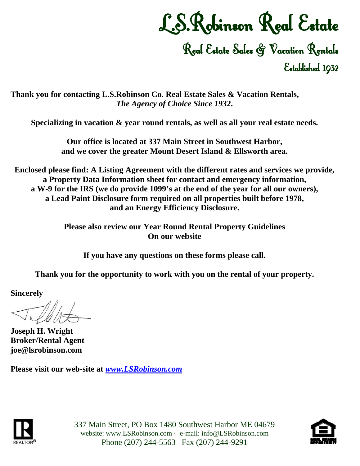# L.S.Robinson Real Estate

Real Estate Sales & Vacation Rentals Established 1932

**Thank you for contacting L.S.Robinson Co. Real Estate Sales & Vacation Rentals,** *The Agency of Choice Since 1932***.** 

**Specializing in vacation & year round rentals, as well as all your real estate needs.** 

**Our office is located at 337 Main Street in Southwest Harbor, and we cover the greater Mount Desert Island & Ellsworth area.** 

**Enclosed please find: A Listing Agreement with the different rates and services we provide, a Property Data Information sheet for contact and emergency information, a W-9 for the IRS (we do provide 1099's at the end of the year for all our owners), a Lead Paint Disclosure form required on all properties built before 1978, and an Energy Efficiency Disclosure.** 

> **Please also review our Year Round Rental Property Guidelines On our website**

**If you have any questions on these forms please call.** 

**Thank you for the opportunity to work with you on the rental of your property.** 

**Sincerely** 

**Joseph H. Wright Broker/Rental Agent joe@lsrobinson.com** 

**Please visit our web-site at** *[www.LSRobinson.com](http://www.lsrobinson.com/)*



337 Main Street, PO Box 1480 Southwest Harbor ME 04679 website: www.LSRobinson.com · e-mail: info@LSRobinson.com Phone (207) 244-5563 Fax (207) 244-9291

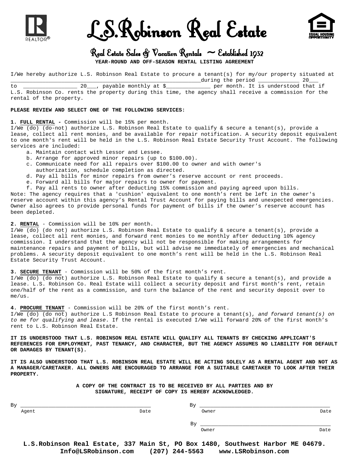

been depleted.

L.S.Robinson Real Estate



## Real Estate Sales  $\mathfrak{S}$  Vacation Rentals  $\sim$  Established 1932

**YEAR-ROUND AND OFF-SEASON RENTAL LISTING AGREEMENT** 

I/We hereby authorize L.S. Robinson Real Estate to procure a tenant(s) for my/our property situated at \_\_\_\_\_\_\_\_\_\_\_\_\_\_\_\_\_\_\_\_\_\_\_\_\_\_\_\_\_\_\_\_\_\_\_\_\_\_\_\_\_\_\_\_\_\_\_\_\_\_\_\_\_\_\_\_\_\_\_\_during the period \_\_\_\_\_\_\_\_\_\_\_\_\_ 20\_\_\_

to \_\_\_\_\_\_\_\_\_\_\_\_\_\_\_\_\_ 20\_\_\_, payable monthly at \$\_\_\_\_\_\_\_\_\_\_\_\_\_\_ per month. It is understood that if L.S. Robinson Co. rents the property during this time, the agency shall receive a commission for the rental of the property.

#### **PLEASE REVIEW AND SELECT ONE OF THE FOLLOWING SERVICES:**

#### **1. FULL RENTAL -** Commission will be 15% per month.

I/We (do) (do-not) authorize L.S. Robinson Real Estate to qualify & secure a tenant(s), provide a lease, collect all rent monies, and be available for repair notification. A security deposit equivalent to one month's rent will be held in the L.S. Robinson Real Estate Security Trust Account. The following services are included:

- a. Maintain contact with Lessor and Lessee.
- b. Arrange for approved minor repairs (up to \$100.00).
- c. Communicate need for all repairs over \$100.00 to owner and with owner's authorization, schedule completion as directed.
- 
- d. Pay all bills for minor repairs from owner's reserve account or rent proceeds.
- e. Forward all bills for major repairs to owner for payment.

 f. Pay all rents to owner after deducting 15% commission and paying agreed upon bills. Note: The agency requires that a 'cushion' equivalent to one month's rent be left in the owner's reserve account within this agency's Rental Trust Account for paying bills and unexpected emergencies. Owner also agrees to provide personal funds for payment of bills if the owner's reserve account has

**2. RENTAL** - Commission will be 10% per month.

I/We (do) (do not) authorize L.S. Robinson Real Estate to qualify & secure a tenant(s), provide a lease, collect all rent monies, and forward rent monies to me monthly after deducting 10% agency commission. I understand that the agency will not be responsible for making arrangements for maintenance repairs and payment of bills, but will advise me immediately of emergencies and mechanical problems. A security deposit equivalent to one month's rent will be held in the L.S. Robinson Real Estate Security Trust Account.

**3. SECURE TENANT** - Commission will be 50% of the first month's rent.

I/We (do) (do not) authorize L.S. Robinson Real Estate to qualify & secure a tenant(s), and provide a lease. L.S. Robinson Co. Real Estate will collect a security deposit and first month's rent, retain one/half of the rent as a commission, and turn the balance of the rent and security deposit over to  $me/11S$ .

**4. PROCURE TENANT** - Commission will be 20% of the first month's rent. I/We (do) (do not) authorize L.S Robinson Real Estate to procure a tenant(s), *and forward tenant(s) on to me for qualifying and lease*. If the rental is executed I/We will forward 20% of the first month's rent to L.S. Robinson Real Estate.

**IT IS UNDERSTOOD THAT L.S. ROBINSON REAL ESTATE WILL QUALIFY ALL TENANTS BY CHECKING APPLICANT'S REFERENCES FOR EMPLOYMENT, PAST TENANCY, AND CHARACTER, BUT THE AGENCY ASSUMES NO LIABILITY FOR DEFAULT OR DAMAGES BY TENANT(S).** 

**IT IS ALSO UNDERSTOOD THAT L.S. ROBINSON REAL ESTATE WILL BE ACTING SOLELY AS A RENTAL AGENT AND NOT AS A MANAGER/CARETAKER. ALL OWNERS ARE ENCOURAGED TO ARRANGE FOR A SUITABLE CARETAKER TO LOOK AFTER THEIR PROPERTY.** 

> **A COPY OF THE CONTRACT IS TO BE RECEIVED BY ALL PARTIES AND BY SIGNATURE, RECEIPT OF COPY IS HEREBY ACKNOWLEDGED.**

| Bγ    |      | By    |      |
|-------|------|-------|------|
| Agent | Date | Owner | Date |
|       |      | By    |      |
|       |      | Owner | Date |

**L.S.Robinson Real Estate, 337 Main St, PO Box 1480, Southwest Harbor ME 04679. Info@LSRobinson.com (207) 244-5563 www.LSRobinson.com**